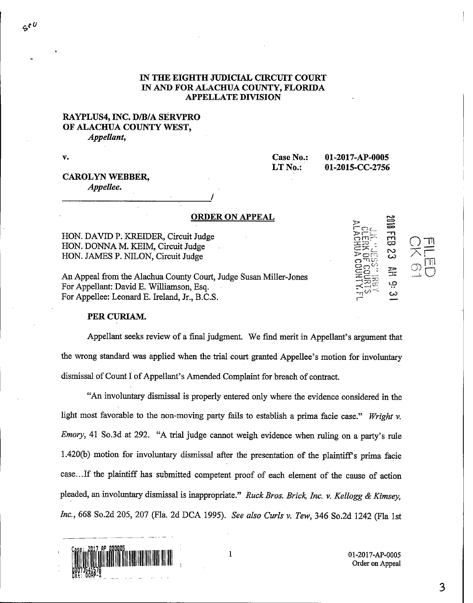### IN THE EIGHTH JUDICIAL CIRCUIT COURT IN AND FOR ALACHUA COUNTY, FLORIDA APPELLATE DIVISION

### RAYPLUS4, INC. D/B/A SERVPRO OF ALACHUA COUNTY WEST, Appellant,

V.

Case No.: 01-2017-AP-0005<br>LT No.: 01-2015-CC-2756

01-2015-CC-2756

ڝ۪

# CAROLYN WEBBER,

Appellee.

#### ORDER ON APPEAL

HON. DAVID P. KREIDER, Circuit Judge HON. DONNA M. KEIM, Circuit Judge HON. JAMES P. NILON, Circuit Judge

An Appeal from the Alachua County Court, Judge Susan Miller-Jones For Appellant: David E. Williamson, Esq. For Appellee: Leonard E. Ireland, Jr., B.C.S.

## PER CURIAM.

Appellant seeks review of a final judgment. We find merit in Appellant's argument that the wrong standard was applied when the trial court granted Appellee's motion for involuntary dismissal of Count I of Appellant's Amended Complaint for breach of contract.

"An involuntary dismissal is properly entered only where the evidence considered in the light most favorable to the non-moving party fails to establish a prima facie case." Wright v. Emory, 41 So.3d at 292. "A trial judge cannot weigh evidence when ruling on a party's rule 1.420(b) motion for involuntary dismissal after the presentation of the plaintiff's prima facie case.. .If the plaintiff has submitted competent proof of each element of the cause of action pleaded, an involuntary dismissal is inappropriate." Ruck Bros. Brick, Inc. v. Kellogg & Kimsey, Inc., 668 So.2d 205, 207 (Fla. 2d DCA 1995). See also Curls v. Tew, 346 So.2d 1242 (Fla 1st



Order on Appeal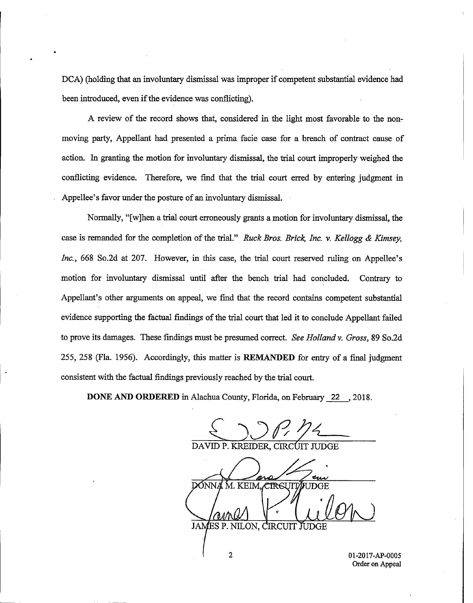DCA) (holding that an involuntary dismissal was improper if competent substantial evidence had been introduced, even if the evidence was conflicting).

A review of the record shows that, considered in the light most favorable to the nonmoving party, Appellant had presented a prima facie case for a breach of contract cause of action. In granting the motion for involuntary dismissal, the trial court improperly weighed the conflicting evidence. Therefore, we find that the trial court erred by entering judgment in Appellee's favor under the posture of an involuntary dismissal.

Normally, "[w]hen a trial court erroneously grants a motion for involuntary dismissal, the case is remanded for the completion of the trial." Ruck Bros. Brick, Inc. v. Kellogg & Kimsey, Inc., 668 So.2d at 207. However, in this case, the trial court reserved ruling on Appellee's motion for involuntary dismissal until after the bench trial had concluded. Contrary to Appellant's other arguments on appeal, we find that the record contains competent substantial evidence supporting the factual findings of the trial court that led it to conclude Appellant failed to prove its damages. These findings must be presumed correct. See Holland v. Gross, 89 So.2d 255, 258 (Fla. 1956). Accordingly, this matter is REMANDED for entry of a final judgment consistent with the factual findings previously reached by the trial court.

DONE AND ORDERED in Alachua County, Florida, on February 22 , 2018.

SON P. 12 M. KEIM, CIRSUIT DONN JAMES P. NILON, CIRCUIT JUDGE

2 01-2017-AP-0005 Order on Appeal